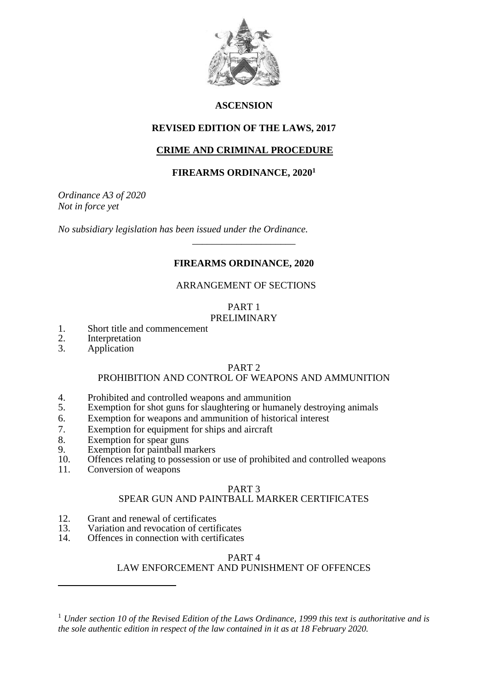

# **ASCENSION**

#### **REVISED EDITION OF THE LAWS, 2017**

# **CRIME AND CRIMINAL PROCEDURE**

#### **FIREARMS ORDINANCE, 2020<sup>1</sup>**

*Ordinance A3 of 2020 Not in force yet*

*No subsidiary legislation has been issued under the Ordinance.*

# **FIREARMS ORDINANCE, 2020**

\_\_\_\_\_\_\_\_\_\_\_\_\_\_\_\_\_\_\_\_\_

#### ARRANGEMENT OF SECTIONS

# PART 1

# PRELIMINARY

- 1. Short title and commencement<br>2. Interpretation
- 2. Interpretation<br>3. Application
- Application

 $\overline{a}$ 

#### PART 2

#### PROHIBITION AND CONTROL OF WEAPONS AND AMMUNITION

- 4. Prohibited and controlled weapons and ammunition<br>5. Exemption for shot guns for slaughtering or humane
- Exemption for shot guns for slaughtering or humanely destroying animals
- 6. Exemption for weapons and ammunition of historical interest
- 7. Exemption for equipment for ships and aircraft
- 8. Exemption for spear guns<br>9 Exemption for painthall m
- 9. Exemption for paintball markers<br>10. Offences relating to possession of
- 10. Offences relating to possession or use of prohibited and controlled weapons
- 11. Conversion of weapons

# PART 3

# SPEAR GUN AND PAINTBALL MARKER CERTIFICATES

- 12. Grant and renewal of certificates<br>13 Variation and revocation of certif
- 13. Variation and revocation of certificates<br>14. Offences in connection with certificates
- Offences in connection with certificates

#### PART 4

# LAW ENFORCEMENT AND PUNISHMENT OF OFFENCES

<sup>1</sup> *Under section 10 of the Revised Edition of the Laws Ordinance, 1999 this text is authoritative and is the sole authentic edition in respect of the law contained in it as at 18 February 2020.*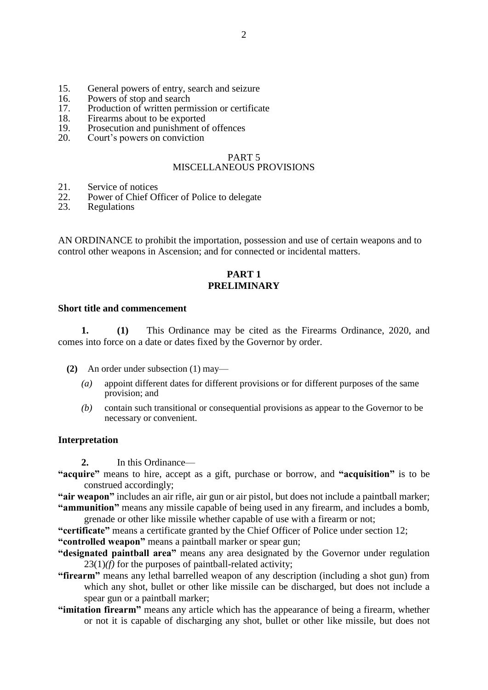- 15. General powers of entry, search and seizure
- 16. Powers of stop and search
- 17. Production of written permission or certificate
- 18. Firearms about to be exported
- 19. Prosecution and punishment of offences
- 20. Court's powers on conviction

#### PART 5 MISCELLANEOUS PROVISIONS

- 21. Service of notices<br>22. Power of Chief Of
- 22. Power of Chief Officer of Police to delegate<br>23. Regulations
- **Regulations**

AN ORDINANCE to prohibit the importation, possession and use of certain weapons and to control other weapons in Ascension; and for connected or incidental matters.

#### **PART 1 PRELIMINARY**

#### **Short title and commencement**

**1. (1)** This Ordinance may be cited as the Firearms Ordinance, 2020, and comes into force on a date or dates fixed by the Governor by order.

- **(2)** An order under subsection (1) may—
	- *(a)* appoint different dates for different provisions or for different purposes of the same provision; and
	- *(b)* contain such transitional or consequential provisions as appear to the Governor to be necessary or convenient.

#### **Interpretation**

**2.** In this Ordinance—

**"acquire"** means to hire, accept as a gift, purchase or borrow, and **"acquisition"** is to be construed accordingly;

**"air weapon"** includes an air rifle, air gun or air pistol, but does not include a paintball marker; **"ammunition"** means any missile capable of being used in any firearm, and includes a bomb,

grenade or other like missile whether capable of use with a firearm or not;

- **"certificate"** means a certificate granted by the Chief Officer of Police under section 12;
- **"controlled weapon"** means a paintball marker or spear gun;
- **"designated paintball area"** means any area designated by the Governor under regulation 23(1)*(f)* for the purposes of paintball-related activity;
- **"firearm"** means any lethal barrelled weapon of any description (including a shot gun) from which any shot, bullet or other like missile can be discharged, but does not include a spear gun or a paintball marker;
- **"imitation firearm"** means any article which has the appearance of being a firearm, whether or not it is capable of discharging any shot, bullet or other like missile, but does not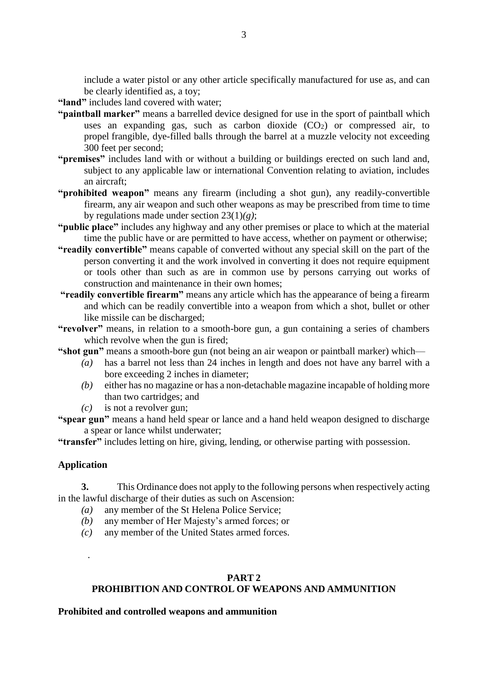include a water pistol or any other article specifically manufactured for use as, and can be clearly identified as, a toy;

- **"land"** includes land covered with water;
- **"paintball marker"** means a barrelled device designed for use in the sport of paintball which uses an expanding gas, such as carbon dioxide  $(CO<sub>2</sub>)$  or compressed air, to propel frangible, dye-filled balls through the barrel at a muzzle velocity not exceeding 300 feet per second;
- **"premises"** includes land with or without a building or buildings erected on such land and, subject to any applicable law or international Convention relating to aviation, includes an aircraft;
- **"prohibited weapon"** means any firearm (including a shot gun), any readily-convertible firearm, any air weapon and such other weapons as may be prescribed from time to time by regulations made under section 23(1)*(g)*;
- **"public place"** includes any highway and any other premises or place to which at the material time the public have or are permitted to have access, whether on payment or otherwise;
- **"readily convertible"** means capable of converted without any special skill on the part of the person converting it and the work involved in converting it does not require equipment or tools other than such as are in common use by persons carrying out works of construction and maintenance in their own homes;
- **"readily convertible firearm"** means any article which has the appearance of being a firearm and which can be readily convertible into a weapon from which a shot, bullet or other like missile can be discharged;
- **"revolver"** means, in relation to a smooth-bore gun, a gun containing a series of chambers which revolve when the gun is fired;
- **"shot gun"** means a smooth-bore gun (not being an air weapon or paintball marker) which—
	- *(a)* has a barrel not less than 24 inches in length and does not have any barrel with a bore exceeding 2 inches in diameter;
	- *(b)* either has no magazine or has a non-detachable magazine incapable of holding more than two cartridges; and
	- *(c)* is not a revolver gun;
- **"spear gun"** means a hand held spear or lance and a hand held weapon designed to discharge a spear or lance whilst underwater;

**"transfer"** includes letting on hire, giving, lending, or otherwise parting with possession.

#### **Application**

.

**3.** This Ordinance does not apply to the following persons when respectively acting in the lawful discharge of their duties as such on Ascension:

- *(a)* any member of the St Helena Police Service;
- *(b)* any member of Her Majesty's armed forces; or
- *(c)* any member of the United States armed forces.

#### **PART 2 PROHIBITION AND CONTROL OF WEAPONS AND AMMUNITION**

#### **Prohibited and controlled weapons and ammunition**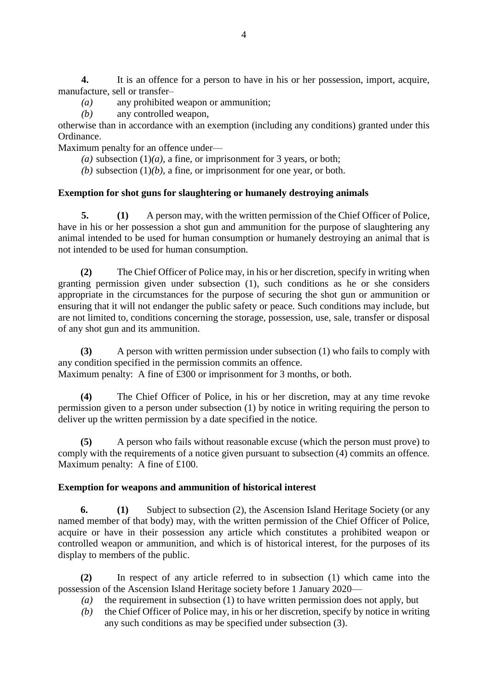**4.** It is an offence for a person to have in his or her possession, import, acquire, manufacture, sell or transfer–

- *(a)* any prohibited weapon or ammunition;
- *(b)* any controlled weapon,

otherwise than in accordance with an exemption (including any conditions) granted under this Ordinance.

Maximum penalty for an offence under—

(*a*) subsection  $(1)(a)$ , a fine, or imprisonment for 3 years, or both;

 $(b)$  subsection  $(1)(b)$ , a fine, or imprisonment for one year, or both.

#### **Exemption for shot guns for slaughtering or humanely destroying animals**

**5. (1)** A person may, with the written permission of the Chief Officer of Police, have in his or her possession a shot gun and ammunition for the purpose of slaughtering any animal intended to be used for human consumption or humanely destroying an animal that is not intended to be used for human consumption.

**(2)** The Chief Officer of Police may, in his or her discretion, specify in writing when granting permission given under subsection (1), such conditions as he or she considers appropriate in the circumstances for the purpose of securing the shot gun or ammunition or ensuring that it will not endanger the public safety or peace. Such conditions may include, but are not limited to, conditions concerning the storage, possession, use, sale, transfer or disposal of any shot gun and its ammunition.

**(3)** A person with written permission under subsection (1) who fails to comply with any condition specified in the permission commits an offence. Maximum penalty: A fine of £300 or imprisonment for 3 months, or both.

**(4)** The Chief Officer of Police, in his or her discretion, may at any time revoke permission given to a person under subsection (1) by notice in writing requiring the person to

**(5)** A person who fails without reasonable excuse (which the person must prove) to comply with the requirements of a notice given pursuant to subsection (4) commits an offence. Maximum penalty: A fine of £100.

#### **Exemption for weapons and ammunition of historical interest**

deliver up the written permission by a date specified in the notice.

**6. (1)** Subject to subsection (2), the Ascension Island Heritage Society (or any named member of that body) may, with the written permission of the Chief Officer of Police, acquire or have in their possession any article which constitutes a prohibited weapon or controlled weapon or ammunition, and which is of historical interest, for the purposes of its display to members of the public.

**(2)** In respect of any article referred to in subsection (1) which came into the possession of the Ascension Island Heritage society before 1 January 2020—

- *(a)* the requirement in subsection (1) to have written permission does not apply, but
- *(b)* the Chief Officer of Police may, in his or her discretion, specify by notice in writing any such conditions as may be specified under subsection (3).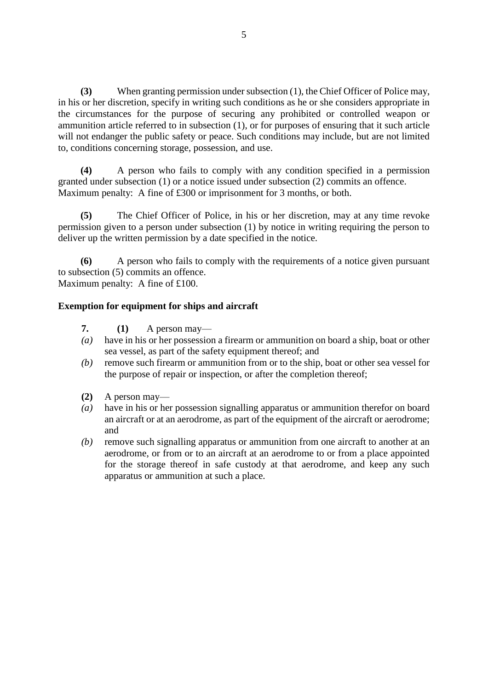**(3)** When granting permission under subsection (1), the Chief Officer of Police may, in his or her discretion, specify in writing such conditions as he or she considers appropriate in the circumstances for the purpose of securing any prohibited or controlled weapon or ammunition article referred to in subsection (1), or for purposes of ensuring that it such article will not endanger the public safety or peace. Such conditions may include, but are not limited to, conditions concerning storage, possession, and use.

**(4)** A person who fails to comply with any condition specified in a permission granted under subsection (1) or a notice issued under subsection (2) commits an offence. Maximum penalty: A fine of £300 or imprisonment for 3 months, or both.

**(5)** The Chief Officer of Police, in his or her discretion, may at any time revoke permission given to a person under subsection (1) by notice in writing requiring the person to deliver up the written permission by a date specified in the notice.

**(6)** A person who fails to comply with the requirements of a notice given pursuant to subsection (5) commits an offence. Maximum penalty: A fine of £100.

#### **Exemption for equipment for ships and aircraft**

- **7. (1)** A person may—
- *(a)* have in his or her possession a firearm or ammunition on board a ship, boat or other sea vessel, as part of the safety equipment thereof; and
- *(b)* remove such firearm or ammunition from or to the ship, boat or other sea vessel for the purpose of repair or inspection, or after the completion thereof;
- **(2)** A person may—
- *(a)* have in his or her possession signalling apparatus or ammunition therefor on board an aircraft or at an aerodrome, as part of the equipment of the aircraft or aerodrome; and
- *(b)* remove such signalling apparatus or ammunition from one aircraft to another at an aerodrome, or from or to an aircraft at an aerodrome to or from a place appointed for the storage thereof in safe custody at that aerodrome, and keep any such apparatus or ammunition at such a place.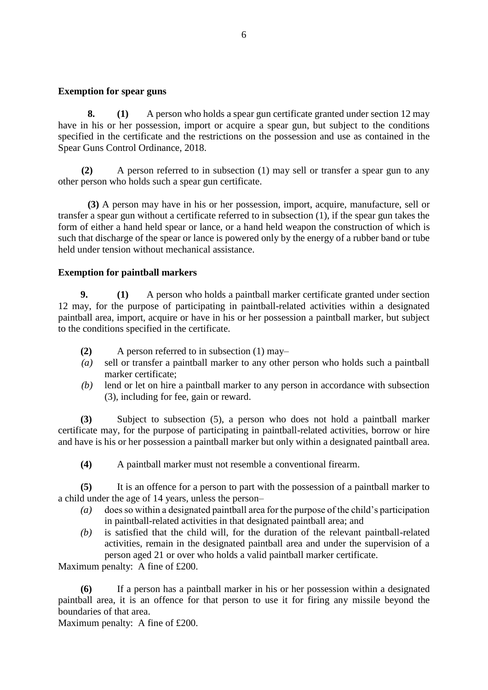#### **Exemption for spear guns**

**8. (1)** A person who holds a spear gun certificate granted under section 12 may have in his or her possession, import or acquire a spear gun, but subject to the conditions specified in the certificate and the restrictions on the possession and use as contained in the Spear Guns Control Ordinance, 2018.

**(2)** A person referred to in subsection (1) may sell or transfer a spear gun to any other person who holds such a spear gun certificate.

**(3)** A person may have in his or her possession, import, acquire, manufacture, sell or transfer a spear gun without a certificate referred to in subsection (1), if the spear gun takes the form of either a hand held spear or lance, or a hand held weapon the construction of which is such that discharge of the spear or lance is powered only by the energy of a rubber band or tube held under tension without mechanical assistance.

#### **Exemption for paintball markers**

**9. (1)** A person who holds a paintball marker certificate granted under section 12 may, for the purpose of participating in paintball-related activities within a designated paintball area, import, acquire or have in his or her possession a paintball marker, but subject to the conditions specified in the certificate.

- **(2)** A person referred to in subsection (1) may–
- *(a)* sell or transfer a paintball marker to any other person who holds such a paintball marker certificate;
- *(b)* lend or let on hire a paintball marker to any person in accordance with subsection (3), including for fee, gain or reward.

**(3)** Subject to subsection (5), a person who does not hold a paintball marker certificate may, for the purpose of participating in paintball-related activities, borrow or hire and have is his or her possession a paintball marker but only within a designated paintball area.

**(4)** A paintball marker must not resemble a conventional firearm.

**(5)** It is an offence for a person to part with the possession of a paintball marker to a child under the age of 14 years, unless the person–

- *(a)* does so within a designated paintball area for the purpose of the child's participation in paintball-related activities in that designated paintball area; and
- *(b)* is satisfied that the child will, for the duration of the relevant paintball-related activities, remain in the designated paintball area and under the supervision of a person aged 21 or over who holds a valid paintball marker certificate.

Maximum penalty: A fine of £200.

**(6)** If a person has a paintball marker in his or her possession within a designated paintball area, it is an offence for that person to use it for firing any missile beyond the boundaries of that area.

Maximum penalty: A fine of £200.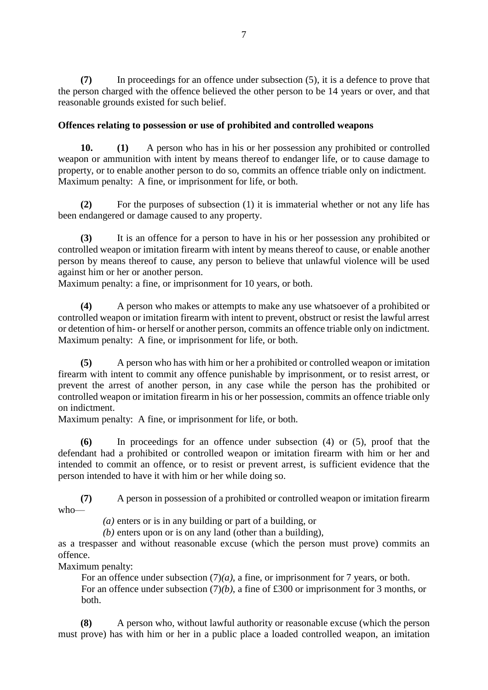**(7)** In proceedings for an offence under subsection (5), it is a defence to prove that the person charged with the offence believed the other person to be 14 years or over, and that reasonable grounds existed for such belief.

#### **Offences relating to possession or use of prohibited and controlled weapons**

**10. (1)** A person who has in his or her possession any prohibited or controlled weapon or ammunition with intent by means thereof to endanger life, or to cause damage to property, or to enable another person to do so, commits an offence triable only on indictment. Maximum penalty: A fine, or imprisonment for life, or both.

**(2)** For the purposes of subsection (1) it is immaterial whether or not any life has been endangered or damage caused to any property.

**(3)** It is an offence for a person to have in his or her possession any prohibited or controlled weapon or imitation firearm with intent by means thereof to cause, or enable another person by means thereof to cause, any person to believe that unlawful violence will be used against him or her or another person.

Maximum penalty: a fine, or imprisonment for 10 years, or both.

**(4)** A person who makes or attempts to make any use whatsoever of a prohibited or controlled weapon or imitation firearm with intent to prevent, obstruct or resist the lawful arrest or detention of him- or herself or another person, commits an offence triable only on indictment. Maximum penalty: A fine, or imprisonment for life, or both.

**(5)** A person who has with him or her a prohibited or controlled weapon or imitation firearm with intent to commit any offence punishable by imprisonment, or to resist arrest, or prevent the arrest of another person, in any case while the person has the prohibited or controlled weapon or imitation firearm in his or her possession, commits an offence triable only on indictment.

Maximum penalty: A fine, or imprisonment for life, or both.

**(6)** In proceedings for an offence under subsection (4) or (5), proof that the defendant had a prohibited or controlled weapon or imitation firearm with him or her and intended to commit an offence, or to resist or prevent arrest, is sufficient evidence that the person intended to have it with him or her while doing so.

**(7)** A person in possession of a prohibited or controlled weapon or imitation firearm who—

*(a)* enters or is in any building or part of a building, or

*(b)* enters upon or is on any land (other than a building),

as a trespasser and without reasonable excuse (which the person must prove) commits an offence.

Maximum penalty:

For an offence under subsection  $(7)(a)$ , a fine, or imprisonment for 7 years, or both. For an offence under subsection (7)*(b)*, a fine of £300 or imprisonment for 3 months, or both.

**(8)** A person who, without lawful authority or reasonable excuse (which the person must prove) has with him or her in a public place a loaded controlled weapon, an imitation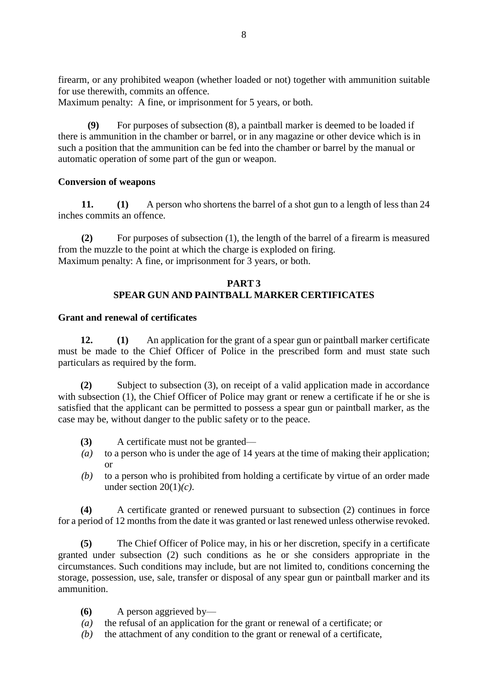firearm, or any prohibited weapon (whether loaded or not) together with ammunition suitable for use therewith, commits an offence.

Maximum penalty: A fine, or imprisonment for 5 years, or both.

**(9)** For purposes of subsection (8), a paintball marker is deemed to be loaded if there is ammunition in the chamber or barrel, or in any magazine or other device which is in such a position that the ammunition can be fed into the chamber or barrel by the manual or automatic operation of some part of the gun or weapon.

# **Conversion of weapons**

**11. (1)** A person who shortens the barrel of a shot gun to a length of less than 24 inches commits an offence.

**(2)** For purposes of subsection (1), the length of the barrel of a firearm is measured from the muzzle to the point at which the charge is exploded on firing. Maximum penalty: A fine, or imprisonment for 3 years, or both.

#### **PART 3 SPEAR GUN AND PAINTBALL MARKER CERTIFICATES**

#### **Grant and renewal of certificates**

**12. (1)** An application for the grant of a spear gun or paintball marker certificate must be made to the Chief Officer of Police in the prescribed form and must state such particulars as required by the form.

**(2)** Subject to subsection (3), on receipt of a valid application made in accordance with subsection (1), the Chief Officer of Police may grant or renew a certificate if he or she is satisfied that the applicant can be permitted to possess a spear gun or paintball marker, as the case may be, without danger to the public safety or to the peace.

- **(3)** A certificate must not be granted—
- *(a)* to a person who is under the age of 14 years at the time of making their application; or
- *(b)* to a person who is prohibited from holding a certificate by virtue of an order made under section 20(1)*(c)*.

**(4)** A certificate granted or renewed pursuant to subsection (2) continues in force for a period of 12 months from the date it was granted or last renewed unless otherwise revoked.

**(5)** The Chief Officer of Police may, in his or her discretion, specify in a certificate granted under subsection (2) such conditions as he or she considers appropriate in the circumstances. Such conditions may include, but are not limited to, conditions concerning the storage, possession, use, sale, transfer or disposal of any spear gun or paintball marker and its ammunition.

- **(6)** A person aggrieved by—
- *(a)* the refusal of an application for the grant or renewal of a certificate; or
- *(b)* the attachment of any condition to the grant or renewal of a certificate,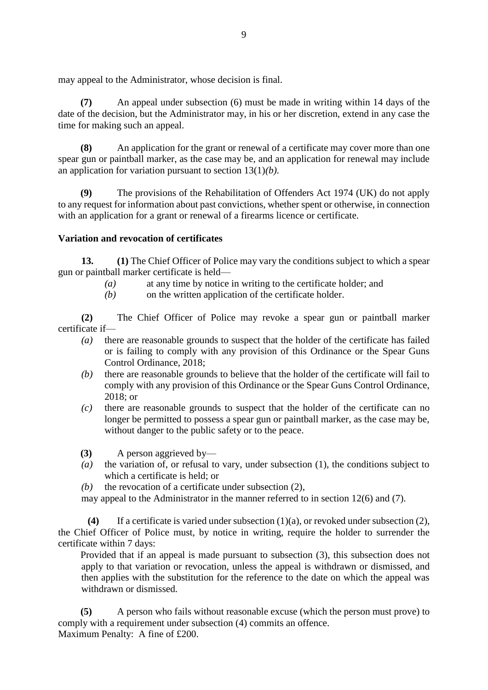may appeal to the Administrator, whose decision is final.

**(7)** An appeal under subsection (6) must be made in writing within 14 days of the date of the decision, but the Administrator may, in his or her discretion, extend in any case the time for making such an appeal.

**(8)** An application for the grant or renewal of a certificate may cover more than one spear gun or paintball marker, as the case may be, and an application for renewal may include an application for variation pursuant to section 13(1)*(b)*.

**(9)** The provisions of the Rehabilitation of Offenders Act 1974 (UK) do not apply to any request for information about past convictions, whether spent or otherwise, in connection with an application for a grant or renewal of a firearms licence or certificate.

#### **Variation and revocation of certificates**

**13. (1)** The Chief Officer of Police may vary the conditions subject to which a spear gun or paintball marker certificate is held—

- *(a)* at any time by notice in writing to the certificate holder; and
- *(b)* on the written application of the certificate holder.

**(2)** The Chief Officer of Police may revoke a spear gun or paintball marker certificate if—

- *(a)* there are reasonable grounds to suspect that the holder of the certificate has failed or is failing to comply with any provision of this Ordinance or the Spear Guns Control Ordinance, 2018;
- *(b)* there are reasonable grounds to believe that the holder of the certificate will fail to comply with any provision of this Ordinance or the Spear Guns Control Ordinance, 2018; or
- *(c)* there are reasonable grounds to suspect that the holder of the certificate can no longer be permitted to possess a spear gun or paintball marker, as the case may be, without danger to the public safety or to the peace.
- **(3)** A person aggrieved by—
- *(a)* the variation of, or refusal to vary, under subsection (1), the conditions subject to which a certificate is held; or
- *(b)* the revocation of a certificate under subsection (2),
- may appeal to the Administrator in the manner referred to in section 12(6) and (7).

**(4)** If a certificate is varied under subsection (1)(a), or revoked under subsection (2), the Chief Officer of Police must, by notice in writing, require the holder to surrender the certificate within 7 days:

Provided that if an appeal is made pursuant to subsection (3), this subsection does not apply to that variation or revocation, unless the appeal is withdrawn or dismissed, and then applies with the substitution for the reference to the date on which the appeal was withdrawn or dismissed.

**(5)** A person who fails without reasonable excuse (which the person must prove) to comply with a requirement under subsection (4) commits an offence. Maximum Penalty: A fine of £200.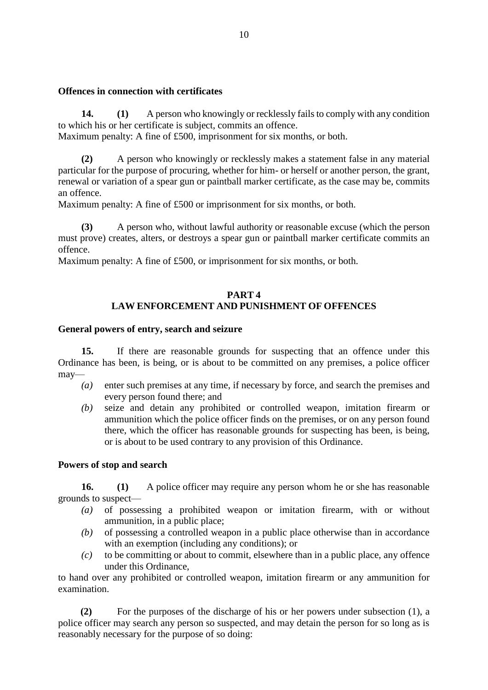#### **Offences in connection with certificates**

**14. (1)** A person who knowingly or recklessly fails to comply with any condition to which his or her certificate is subject, commits an offence.

Maximum penalty: A fine of £500, imprisonment for six months, or both.

**(2)** A person who knowingly or recklessly makes a statement false in any material particular for the purpose of procuring, whether for him- or herself or another person, the grant, renewal or variation of a spear gun or paintball marker certificate, as the case may be, commits an offence.

Maximum penalty: A fine of £500 or imprisonment for six months, or both.

**(3)** A person who, without lawful authority or reasonable excuse (which the person must prove) creates, alters, or destroys a spear gun or paintball marker certificate commits an offence.

Maximum penalty: A fine of £500, or imprisonment for six months, or both.

#### **PART 4 LAW ENFORCEMENT AND PUNISHMENT OF OFFENCES**

#### **General powers of entry, search and seizure**

**15.** If there are reasonable grounds for suspecting that an offence under this Ordinance has been, is being, or is about to be committed on any premises, a police officer may—

- *(a)* enter such premises at any time, if necessary by force, and search the premises and every person found there; and
- *(b)* seize and detain any prohibited or controlled weapon, imitation firearm or ammunition which the police officer finds on the premises, or on any person found there, which the officer has reasonable grounds for suspecting has been, is being, or is about to be used contrary to any provision of this Ordinance.

#### **Powers of stop and search**

**16. (1)** A police officer may require any person whom he or she has reasonable grounds to suspect—

- *(a)* of possessing a prohibited weapon or imitation firearm, with or without ammunition, in a public place;
- *(b)* of possessing a controlled weapon in a public place otherwise than in accordance with an exemption (including any conditions); or
- *(c)* to be committing or about to commit, elsewhere than in a public place, any offence under this Ordinance,

to hand over any prohibited or controlled weapon, imitation firearm or any ammunition for examination.

**(2)** For the purposes of the discharge of his or her powers under subsection (1), a police officer may search any person so suspected, and may detain the person for so long as is reasonably necessary for the purpose of so doing: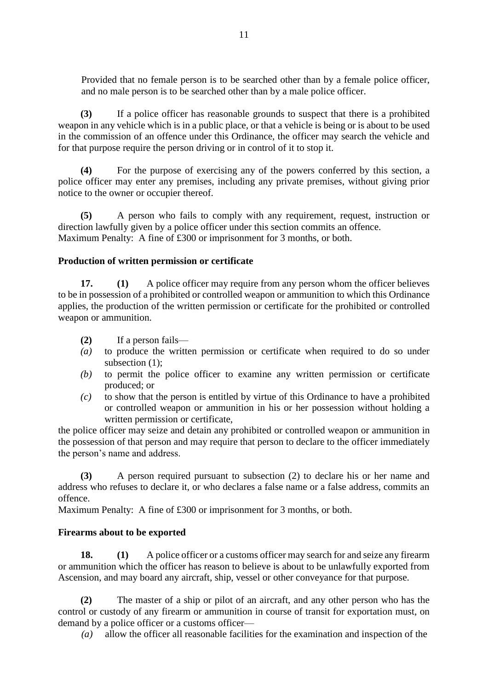Provided that no female person is to be searched other than by a female police officer, and no male person is to be searched other than by a male police officer.

**(3)** If a police officer has reasonable grounds to suspect that there is a prohibited weapon in any vehicle which is in a public place, or that a vehicle is being or is about to be used in the commission of an offence under this Ordinance, the officer may search the vehicle and for that purpose require the person driving or in control of it to stop it.

**(4)** For the purpose of exercising any of the powers conferred by this section, a police officer may enter any premises, including any private premises, without giving prior notice to the owner or occupier thereof.

**(5)** A person who fails to comply with any requirement, request, instruction or direction lawfully given by a police officer under this section commits an offence. Maximum Penalty: A fine of £300 or imprisonment for 3 months, or both.

#### **Production of written permission or certificate**

**17. (1)** A police officer may require from any person whom the officer believes to be in possession of a prohibited or controlled weapon or ammunition to which this Ordinance applies, the production of the written permission or certificate for the prohibited or controlled weapon or ammunition.

- **(2)** If a person fails—
- *(a)* to produce the written permission or certificate when required to do so under subsection  $(1)$ ;
- *(b)* to permit the police officer to examine any written permission or certificate produced; or
- *(c)* to show that the person is entitled by virtue of this Ordinance to have a prohibited or controlled weapon or ammunition in his or her possession without holding a written permission or certificate,

the police officer may seize and detain any prohibited or controlled weapon or ammunition in the possession of that person and may require that person to declare to the officer immediately the person's name and address.

**(3)** A person required pursuant to subsection (2) to declare his or her name and address who refuses to declare it, or who declares a false name or a false address, commits an offence.

Maximum Penalty: A fine of £300 or imprisonment for 3 months, or both.

#### **Firearms about to be exported**

**18. (1)** A police officer or a customs officer may search for and seize any firearm or ammunition which the officer has reason to believe is about to be unlawfully exported from Ascension, and may board any aircraft, ship, vessel or other conveyance for that purpose.

**(2)** The master of a ship or pilot of an aircraft, and any other person who has the control or custody of any firearm or ammunition in course of transit for exportation must, on demand by a police officer or a customs officer—

*(a)* allow the officer all reasonable facilities for the examination and inspection of the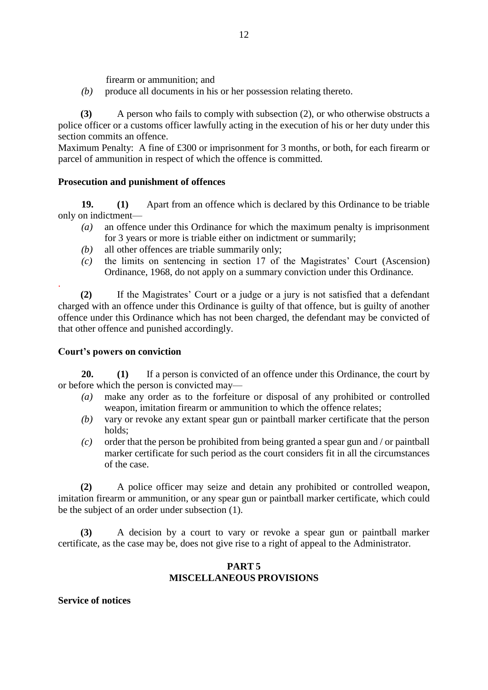firearm or ammunition; and

*(b)* produce all documents in his or her possession relating thereto.

**(3)** A person who fails to comply with subsection (2), or who otherwise obstructs a police officer or a customs officer lawfully acting in the execution of his or her duty under this section commits an offence.

Maximum Penalty: A fine of £300 or imprisonment for 3 months, or both, for each firearm or parcel of ammunition in respect of which the offence is committed.

#### **Prosecution and punishment of offences**

**19. (1)** Apart from an offence which is declared by this Ordinance to be triable only on indictment—

- *(a)* an offence under this Ordinance for which the maximum penalty is imprisonment for 3 years or more is triable either on indictment or summarily;
- *(b)* all other offences are triable summarily only;
- *(c)* the limits on sentencing in section 17 of the Magistrates' Court (Ascension) Ordinance, 1968, do not apply on a summary conviction under this Ordinance.

**(2)** If the Magistrates' Court or a judge or a jury is not satisfied that a defendant charged with an offence under this Ordinance is guilty of that offence, but is guilty of another offence under this Ordinance which has not been charged, the defendant may be convicted of that other offence and punished accordingly.

#### **Court's powers on conviction**

.

**20. (1)** If a person is convicted of an offence under this Ordinance, the court by or before which the person is convicted may—

- *(a)* make any order as to the forfeiture or disposal of any prohibited or controlled weapon, imitation firearm or ammunition to which the offence relates;
- *(b)* vary or revoke any extant spear gun or paintball marker certificate that the person holds;
- *(c)* order that the person be prohibited from being granted a spear gun and / or paintball marker certificate for such period as the court considers fit in all the circumstances of the case.

**(2)** A police officer may seize and detain any prohibited or controlled weapon, imitation firearm or ammunition, or any spear gun or paintball marker certificate, which could be the subject of an order under subsection (1).

**(3)** A decision by a court to vary or revoke a spear gun or paintball marker certificate, as the case may be, does not give rise to a right of appeal to the Administrator.

#### **PART 5 MISCELLANEOUS PROVISIONS**

**Service of notices**